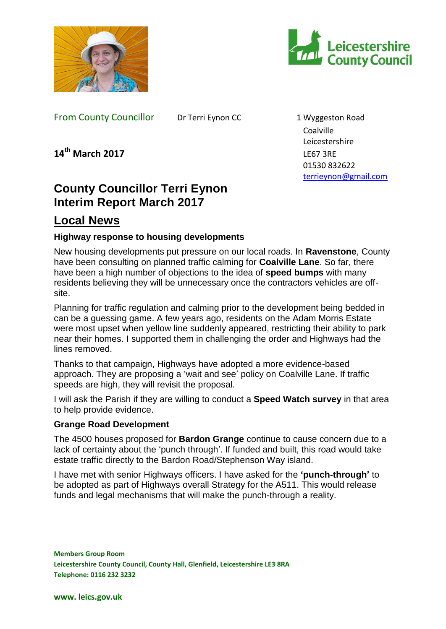



From County Councillor Dr Terri Eynon CC 1 Wyggeston Road

Coalville Leicestershire 01530 832622 [terrieynon@gmail.com](mailto:terrieynon@gmail.com)

**14th March 2017** LE67 3RE

# **County Councillor Terri Eynon Interim Report March 2017**

## **Local News**

## **Highway response to housing developments**

New housing developments put pressure on our local roads. In **Ravenstone**, County have been consulting on planned traffic calming for **Coalville Lane**. So far, there have been a high number of objections to the idea of **speed bumps** with many residents believing they will be unnecessary once the contractors vehicles are offsite.

Planning for traffic regulation and calming prior to the development being bedded in can be a guessing game. A few years ago, residents on the Adam Morris Estate were most upset when yellow line suddenly appeared, restricting their ability to park near their homes. I supported them in challenging the order and Highways had the lines removed.

Thanks to that campaign, Highways have adopted a more evidence-based approach. They are proposing a 'wait and see' policy on Coalville Lane. If traffic speeds are high, they will revisit the proposal.

I will ask the Parish if they are willing to conduct a **Speed Watch survey** in that area to help provide evidence.

## **Grange Road Development**

The 4500 houses proposed for **Bardon Grange** continue to cause concern due to a lack of certainty about the 'punch through'. If funded and built, this road would take estate traffic directly to the Bardon Road/Stephenson Way island.

I have met with senior Highways officers. I have asked for the **'punch-through'** to be adopted as part of Highways overall Strategy for the A511. This would release funds and legal mechanisms that will make the punch-through a reality.

**Members Group Room Leicestershire County Council, County Hall, Glenfield, Leicestershire LE3 8RA Telephone: 0116 232 3232**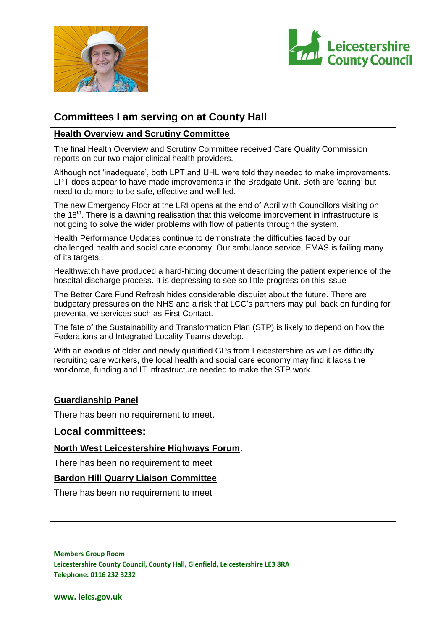



## **Committees I am serving on at County Hall**

#### **Health Overview and Scrutiny Committee**

The final Health Overview and Scrutiny Committee received Care Quality Commission reports on our two major clinical health providers.

Although not 'inadequate', both LPT and UHL were told they needed to make improvements. LPT does appear to have made improvements in the Bradgate Unit. Both are 'caring' but need to do more to be safe, effective and well-led.

The new Emergency Floor at the LRI opens at the end of April with Councillors visiting on the 18<sup>th</sup>. There is a dawning realisation that this welcome improvement in infrastructure is not going to solve the wider problems with flow of patients through the system.

Health Performance Updates continue to demonstrate the difficulties faced by our challenged health and social care economy. Our ambulance service, EMAS is failing many of its targets..

Healthwatch have produced a hard-hitting document describing the patient experience of the hospital discharge process. It is depressing to see so little progress on this issue

The Better Care Fund Refresh hides considerable disquiet about the future. There are budgetary pressures on the NHS and a risk that LCC's partners may pull back on funding for preventative services such as First Contact.

The fate of the Sustainability and Transformation Plan (STP) is likely to depend on how the Federations and Integrated Locality Teams develop.

With an exodus of older and newly qualified GPs from Leicestershire as well as difficulty recruiting care workers, the local health and social care economy may find it lacks the workforce, funding and IT infrastructure needed to make the STP work.

#### **Guardianship Panel**

There has been no requirement to meet.

#### **Local committees:**

**North West Leicestershire Highways Forum**.

There has been no requirement to meet

#### **Bardon Hill Quarry Liaison Committee**

There has been no requirement to meet

**Members Group Room Leicestershire County Council, County Hall, Glenfield, Leicestershire LE3 8RA Telephone: 0116 232 3232**